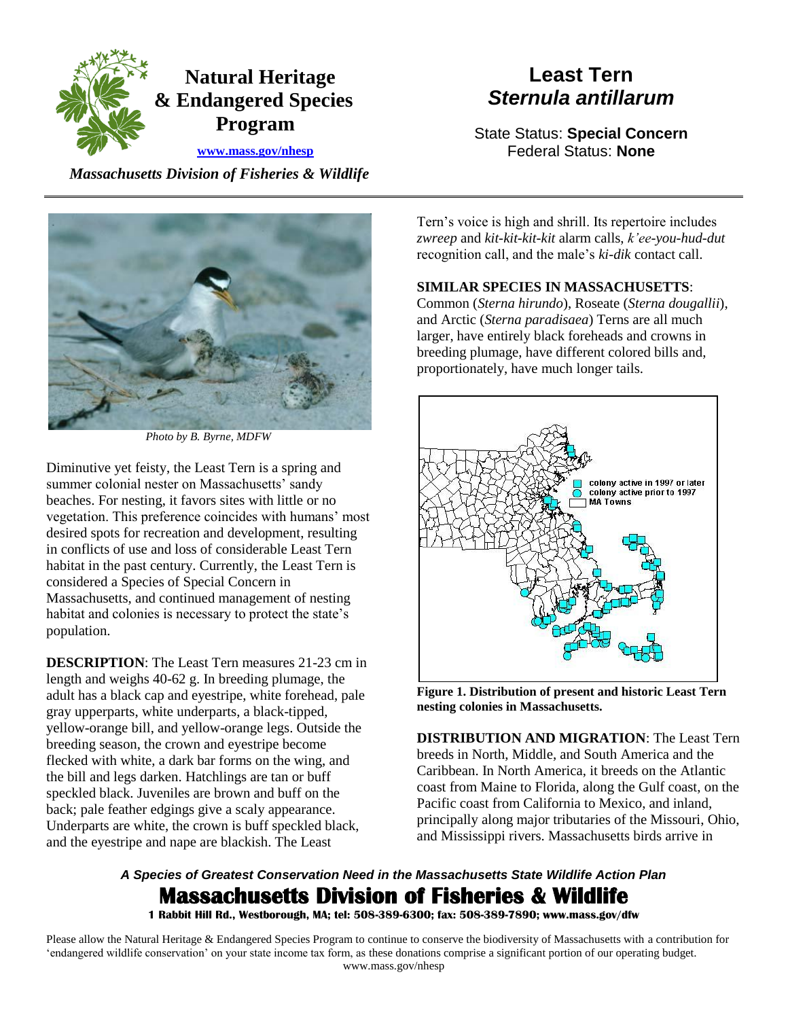

# **Least Tern**  *Sternula antillarum*

State Status: **Special Concern**  Federal Status: **None** 

 *Massachusetts Division of Fisheries & Wildlife* 



*Photo by B. Byrne, MDFW* 

Diminutive yet feisty, the Least Tern is a spring and summer colonial nester on Massachusetts' sandy beaches. For nesting, it favors sites with little or no vegetation. This preference coincides with humans' most desired spots for recreation and development, resulting in conflicts of use and loss of considerable Least Tern habitat in the past century. Currently, the Least Tern is considered a Species of Special Concern in Massachusetts, and continued management of nesting habitat and colonies is necessary to protect the state's population.

 **DESCRIPTION**: The Least Tern measures 21-23 cm in length and weighs 40-62 g. In breeding plumage, the adult has a black cap and eyestripe, white forehead, pale gray upperparts, white underparts, a black-tipped, yellow-orange bill, and yellow-orange legs. Outside the breeding season, the crown and eyestripe become flecked with white, a dark bar forms on the wing, and the bill and legs darken. Hatchlings are tan or buff speckled black. Juveniles are brown and buff on the back; pale feather edgings give a scaly appearance. Underparts are white, the crown is buff speckled black, and the eyestripe and nape are blackish. The Least

 recognition call, and the male's *ki-dik* contact call. Tern's voice is high and shrill. Its repertoire includes *zwreep* and *kit-kit-kit-kit* alarm calls, *k'ee-you-hud-dut* 

### **SIMILAR SPECIES IN MASSACHUSETTS**:

Common (*Sterna hirundo*), Roseate (*Sterna dougallii*), and Arctic (*Sterna paradisaea*) Terns are all much larger, have entirely black foreheads and crowns in breeding plumage, have different colored bills and, proportionately, have much longer tails.



**Figure 1. Distribution of present and historic Least Tern nesting colonies in Massachusetts.** 

**DISTRIBUTION AND MIGRATION**: The Least Tern breeds in North, Middle, and South America and the Caribbean. In North America, it breeds on the Atlantic coast from Maine to Florida, along the Gulf coast, on the Pacific coast from California to Mexico, and inland, principally along major tributaries of the Missouri, Ohio, and Mississippi rivers. Massachusetts birds arrive in

## *A Species of Greatest Conservation Need in the Massachusetts State Wildlife Action Plan*  **Massachusetts Division of Fisheries & Wildlife**

 **1 Rabbit Hill Rd., Westborough, MA; tel: 508-389-6300; fax: 508-389-7890; www.mass.gov/dfw**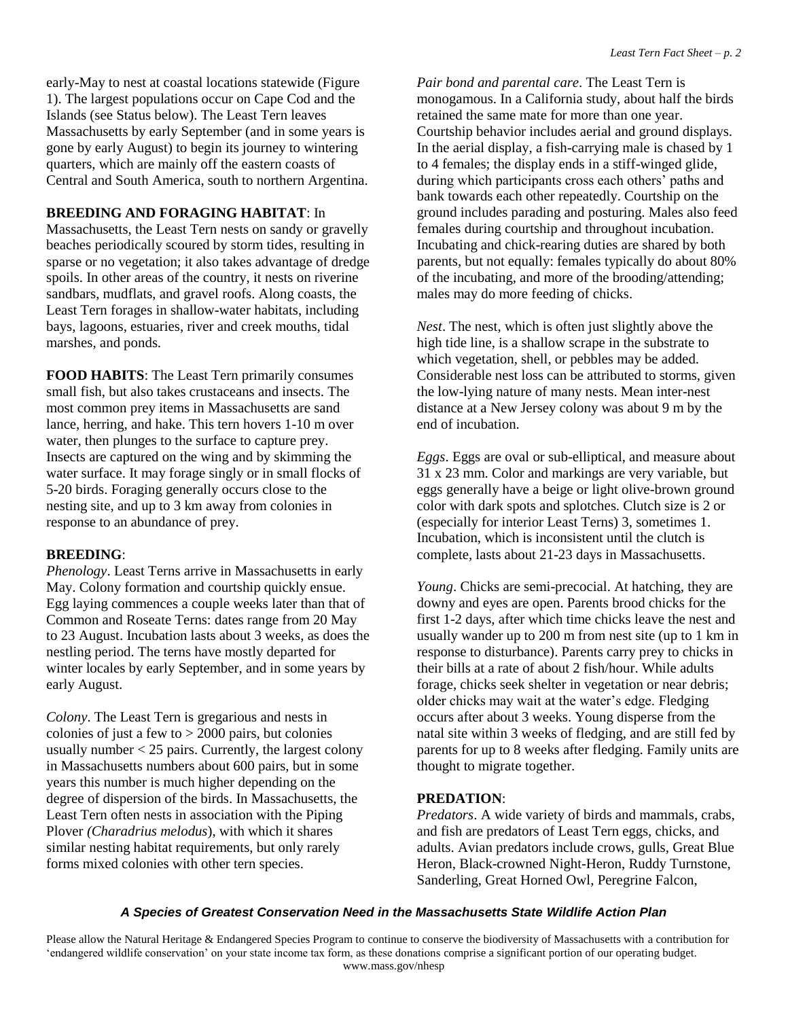early-May to nest at coastal locations statewide (Figure Islands (see Status below). The Least Tern leaves quarters, which are mainly off the eastern coasts of 1). The largest populations occur on Cape Cod and the Massachusetts by early September (and in some years is gone by early August) to begin its journey to wintering Central and South America, south to northern Argentina.

#### **BREEDING AND FORAGING HABITAT**: In

Massachusetts, the Least Tern nests on sandy or gravelly beaches periodically scoured by storm tides, resulting in sparse or no vegetation; it also takes advantage of dredge spoils. In other areas of the country, it nests on riverine sandbars, mudflats, and gravel roofs. Along coasts, the Least Tern forages in shallow-water habitats, including bays, lagoons, estuaries, river and creek mouths, tidal marshes, and ponds.

 **FOOD HABITS**: The Least Tern primarily consumes water surface. It may forage singly or in small flocks of small fish, but also takes crustaceans and insects. The most common prey items in Massachusetts are sand lance, herring, and hake. This tern hovers 1-10 m over water, then plunges to the surface to capture prey. Insects are captured on the wing and by skimming the 5-20 birds. Foraging generally occurs close to the nesting site, and up to 3 km away from colonies in response to an abundance of prey.

#### **BREEDING**:

 Egg laying commences a couple weeks later than that of *Phenology*. Least Terns arrive in Massachusetts in early May. Colony formation and courtship quickly ensue. Common and Roseate Terns: dates range from 20 May to 23 August. Incubation lasts about 3 weeks, as does the nestling period. The terns have mostly departed for winter locales by early September, and in some years by early August.

colonies of just a few to  $> 2000$  pairs, but colonies degree of dispersion of the birds. In Massachusetts, the Plover *(Charadrius melodus*), with which it shares similar nesting habitat requirements, but only rarely *Colony*. The Least Tern is gregarious and nests in usually number  $<$  25 pairs. Currently, the largest colony in Massachusetts numbers about 600 pairs, but in some years this number is much higher depending on the Least Tern often nests in association with the Piping forms mixed colonies with other tern species.

*Pair bond and parental care*. The Least Tern is monogamous. In a California study, about half the birds retained the same mate for more than one year. Courtship behavior includes aerial and ground displays. In the aerial display, a fish-carrying male is chased by 1 to 4 females; the display ends in a stiff-winged glide, during which participants cross each others' paths and bank towards each other repeatedly. Courtship on the ground includes parading and posturing. Males also feed females during courtship and throughout incubation. Incubating and chick-rearing duties are shared by both parents, but not equally: females typically do about 80% of the incubating, and more of the brooding/attending; males may do more feeding of chicks.

*Nest*. The nest, which is often just slightly above the high tide line, is a shallow scrape in the substrate to which vegetation, shell, or pebbles may be added. Considerable nest loss can be attributed to storms, given the low-lying nature of many nests. Mean inter-nest distance at a New Jersey colony was about 9 m by the end of incubation.

*Eggs*. Eggs are oval or sub-elliptical, and measure about 31 x 23 mm. Color and markings are very variable, but eggs generally have a beige or light olive-brown ground color with dark spots and splotches. Clutch size is 2 or (especially for interior Least Terns) 3, sometimes 1. Incubation, which is inconsistent until the clutch is complete, lasts about 21-23 days in Massachusetts.

*Young*. Chicks are semi-precocial. At hatching, they are downy and eyes are open. Parents brood chicks for the first 1-2 days, after which time chicks leave the nest and usually wander up to 200 m from nest site (up to 1 km in response to disturbance). Parents carry prey to chicks in their bills at a rate of about 2 fish/hour. While adults forage, chicks seek shelter in vegetation or near debris; older chicks may wait at the water's edge. Fledging occurs after about 3 weeks. Young disperse from the natal site within 3 weeks of fledging, and are still fed by parents for up to 8 weeks after fledging. Family units are thought to migrate together.

#### **PREDATION**:

*Predators*. A wide variety of birds and mammals, crabs, and fish are predators of Least Tern eggs, chicks, and adults. Avian predators include crows, gulls, Great Blue Heron, Black-crowned Night-Heron, Ruddy Turnstone, Sanderling, Great Horned Owl, Peregrine Falcon,

#### *A Species of Greatest Conservation Need in the Massachusetts State Wildlife Action Plan*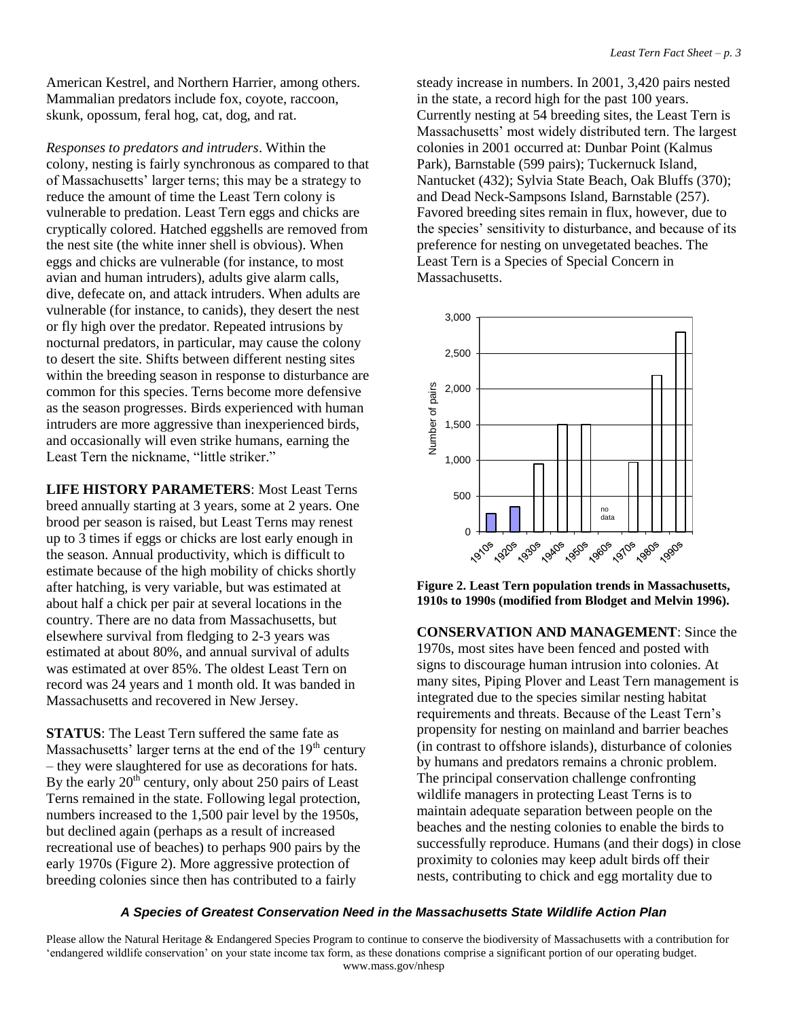American Kestrel, and Northern Harrier, among others. Mammalian predators include fox, coyote, raccoon, skunk, opossum, feral hog, cat, dog, and rat.

*Responses to predators and intruders*. Within the colony, nesting is fairly synchronous as compared to that of Massachusetts' larger terns; this may be a strategy to reduce the amount of time the Least Tern colony is vulnerable to predation. Least Tern eggs and chicks are cryptically colored. Hatched eggshells are removed from the nest site (the white inner shell is obvious). When eggs and chicks are vulnerable (for instance, to most avian and human intruders), adults give alarm calls, dive, defecate on, and attack intruders. When adults are vulnerable (for instance, to canids), they desert the nest or fly high over the predator. Repeated intrusions by nocturnal predators, in particular, may cause the colony to desert the site. Shifts between different nesting sites within the breeding season in response to disturbance are common for this species. Terns become more defensive as the season progresses. Birds experienced with human intruders are more aggressive than inexperienced birds, and occasionally will even strike humans, earning the Least Tern the nickname, "little striker."

**LIFE HISTORY PARAMETERS**: Most Least Terns breed annually starting at 3 years, some at 2 years. One brood per season is raised, but Least Terns may renest up to 3 times if eggs or chicks are lost early enough in the season. Annual productivity, which is difficult to estimate because of the high mobility of chicks shortly after hatching, is very variable, but was estimated at about half a chick per pair at several locations in the country. There are no data from Massachusetts, but elsewhere survival from fledging to 2-3 years was estimated at about 80%, and annual survival of adults was estimated at over 85%. The oldest Least Tern on record was 24 years and 1 month old. It was banded in Massachusetts and recovered in New Jersey.

**STATUS**: The Least Tern suffered the same fate as Massachusetts' larger terns at the end of the  $19<sup>th</sup>$  century – they were slaughtered for use as decorations for hats. By the early  $20<sup>th</sup>$  century, only about 250 pairs of Least Terns remained in the state. Following legal protection, numbers increased to the 1,500 pair level by the 1950s, but declined again (perhaps as a result of increased recreational use of beaches) to perhaps 900 pairs by the early 1970s (Figure 2). More aggressive protection of breeding colonies since then has contributed to a fairly

steady increase in numbers. In 2001, 3,420 pairs nested in the state, a record high for the past 100 years. Currently nesting at 54 breeding sites, the Least Tern is Massachusetts' most widely distributed tern. The largest colonies in 2001 occurred at: Dunbar Point (Kalmus Park), Barnstable (599 pairs); Tuckernuck Island, Nantucket (432); Sylvia State Beach, Oak Bluffs (370); and Dead Neck-Sampsons Island, Barnstable (257). Favored breeding sites remain in flux, however, due to the species' sensitivity to disturbance, and because of its preference for nesting on unvegetated beaches. The Least Tern is a Species of Special Concern in Massachusetts.



**Figure 2. Least Tern population trends in Massachusetts, 1910s to 1990s (modified from Blodget and Melvin 1996).** 

**CONSERVATION AND MANAGEMENT**: Since the 1970s, most sites have been fenced and posted with signs to discourage human intrusion into colonies. At many sites, Piping Plover and Least Tern management is integrated due to the species similar nesting habitat requirements and threats. Because of the Least Tern's propensity for nesting on mainland and barrier beaches (in contrast to offshore islands), disturbance of colonies by humans and predators remains a chronic problem. The principal conservation challenge confronting wildlife managers in protecting Least Terns is to maintain adequate separation between people on the beaches and the nesting colonies to enable the birds to successfully reproduce. Humans (and their dogs) in close proximity to colonies may keep adult birds off their nests, contributing to chick and egg mortality due to

#### *A Species of Greatest Conservation Need in the Massachusetts State Wildlife Action Plan*